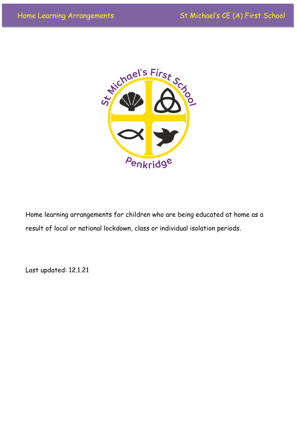

Home learning arrangements for children who are being educated at home as a result of local or national lockdown, class or individual isolation periods.

Last updated: 12.1.21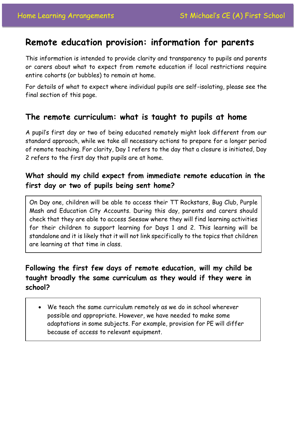# **Remote education provision: information for parents**

This information is intended to provide clarity and transparency to pupils and parents or carers about what to expect from remote education if local restrictions require entire cohorts (or bubbles) to remain at home.

For details of what to expect where individual pupils are self-isolating, please see the final section of this page.

## **The remote curriculum: what is taught to pupils at home**

A pupil's first day or two of being educated remotely might look different from our standard approach, while we take all necessary actions to prepare for a longer period of remote teaching. For clarity, Day 1 refers to the day that a closure is initiated, Day 2 refers to the first day that pupils are at home.

### **What should my child expect from immediate remote education in the first day or two of pupils being sent home?**

On Day one, children will be able to access their TT Rockstars, Bug Club, Purple Mash and Education City Accounts. During this day, parents and carers should check that they are able to access Seesaw where they will find learning activities for their children to support learning for Days 1 and 2. This learning will be standalone and it is likely that it will not link specifically to the topics that children are learning at that time in class.

## **Following the first few days of remote education, will my child be taught broadly the same curriculum as they would if they were in school?**

 We teach the same curriculum remotely as we do in school wherever possible and appropriate. However, we have needed to make some adaptations in some subjects. For example, provision for PE will differ because of access to relevant equipment.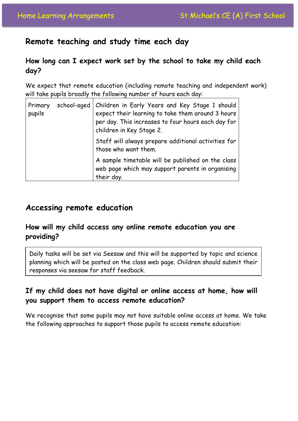## **Remote teaching and study time each day**

### **How long can I expect work set by the school to take my child each day?**

We expect that remote education (including remote teaching and independent work) will take pupils broadly the following number of hours each day:

| Primary<br>pupils | school-aged | Children in Early Years and Key Stage 1 should<br>expect their learning to take them around 3 hours<br>per day. This increases to four hours each day for<br>children in Key Stage 2. |
|-------------------|-------------|---------------------------------------------------------------------------------------------------------------------------------------------------------------------------------------|
|                   |             | Staff will always prepare additional activities for<br>those who want them.                                                                                                           |
|                   |             | A sample timetable will be published on the class<br>web page which may support parents in organising<br>their day.                                                                   |

## **Accessing remote education**

### **How will my child access any online remote education you are providing?**

Daily tasks will be set via Seesaw and this will be supported by topic and science planning which will be posted on the class web page. Children should submit their responses via seesaw for staff feedback.

### **If my child does not have digital or online access at home, how will you support them to access remote education?**

We recognise that some pupils may not have suitable online access at home. We take the following approaches to support those pupils to access remote education: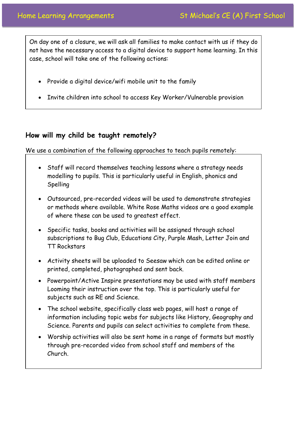On day one of a closure, we will ask all families to make contact with us if they do not have the necessary access to a digital device to support home learning. In this case, school will take one of the following actions:

- Provide a digital device/wifi mobile unit to the family
- Invite children into school to access Key Worker/Vulnerable provision

#### **How will my child be taught remotely?**

We use a combination of the following approaches to teach pupils remotely:

- Staff will record themselves teaching lessons where a strategy needs modelling to pupils. This is particularly useful in English, phonics and Spelling
- Outsourced, pre-recorded videos will be used to demonstrate strategies or methods where available. White Rose Maths videos are a good example of where these can be used to greatest effect.
- Specific tasks, books and activities will be assigned through school subscriptions to Bug Club, Educations City, Purple Mash, Letter Join and TT Rockstars
- Activity sheets will be uploaded to Seesaw which can be edited online or printed, completed, photographed and sent back.
- Powerpoint/Active Inspire presentations may be used with staff members Looming their instruction over the top. This is particularly useful for subjects such as RE and Science.
- The school website, specifically class web pages, will host a range of information including topic webs for subjects like History, Geography and Science. Parents and pupils can select activities to complete from these.
- Worship activities will also be sent home in a range of formats but mostly through pre-recorded video from school staff and members of the Church.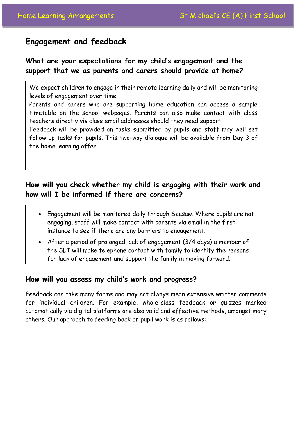## **Engagement and feedback**

## **What are your expectations for my child's engagement and the support that we as parents and carers should provide at home?**

We expect children to engage in their remote learning daily and will be monitoring levels of engagement over time.

Parents and carers who are supporting home education can access a sample timetable on the school webpages. Parents can also make contact with class teachers directly vis class email addresses should they need support.

Feedback will be provided on tasks submitted by pupils and staff may well set follow up tasks for pupils. This two-way dialogue will be available from Day 3 of the home learning offer.

### **How will you check whether my child is engaging with their work and how will I be informed if there are concerns?**

- Engagement will be monitored daily through Seesaw. Where pupils are not engaging, staff will make contact with parents via email in the first instance to see if there are any barriers to engagement.
- After a period of prolonged lack of engagement (3/4 days) a member of the SLT will make telephone contact with family to identify the reasons for lack of engagement and support the family in moving forward.

#### **How will you assess my child's work and progress?**

Feedback can take many forms and may not always mean extensive written comments for individual children. For example, whole-class feedback or quizzes marked automatically via digital platforms are also valid and effective methods, amongst many others. Our approach to feeding back on pupil work is as follows: